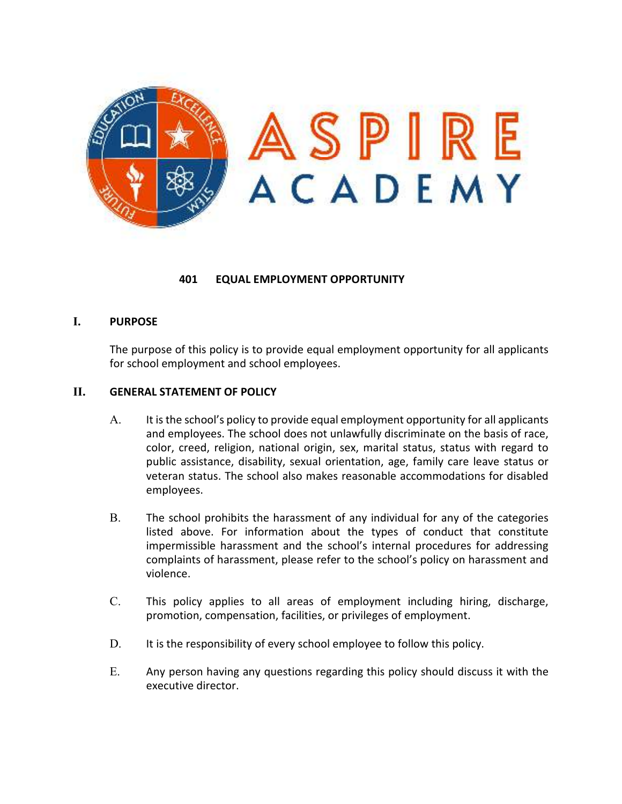

## **401 EQUAL EMPLOYMENT OPPORTUNITY**

## **I. PURPOSE**

The purpose of this policy is to provide equal employment opportunity for all applicants for school employment and school employees.

## **II. GENERAL STATEMENT OF POLICY**

- A. It is the school's policy to provide equal employment opportunity for all applicants and employees. The school does not unlawfully discriminate on the basis of race, color, creed, religion, national origin, sex, marital status, status with regard to public assistance, disability, sexual orientation, age, family care leave status or veteran status. The school also makes reasonable accommodations for disabled employees.
- B. The school prohibits the harassment of any individual for any of the categories listed above. For information about the types of conduct that constitute impermissible harassment and the school's internal procedures for addressing complaints of harassment, please refer to the school's policy on harassment and violence.
- C. This policy applies to all areas of employment including hiring, discharge, promotion, compensation, facilities, or privileges of employment.
- D. It is the responsibility of every school employee to follow this policy.
- E. Any person having any questions regarding this policy should discuss it with the executive director.